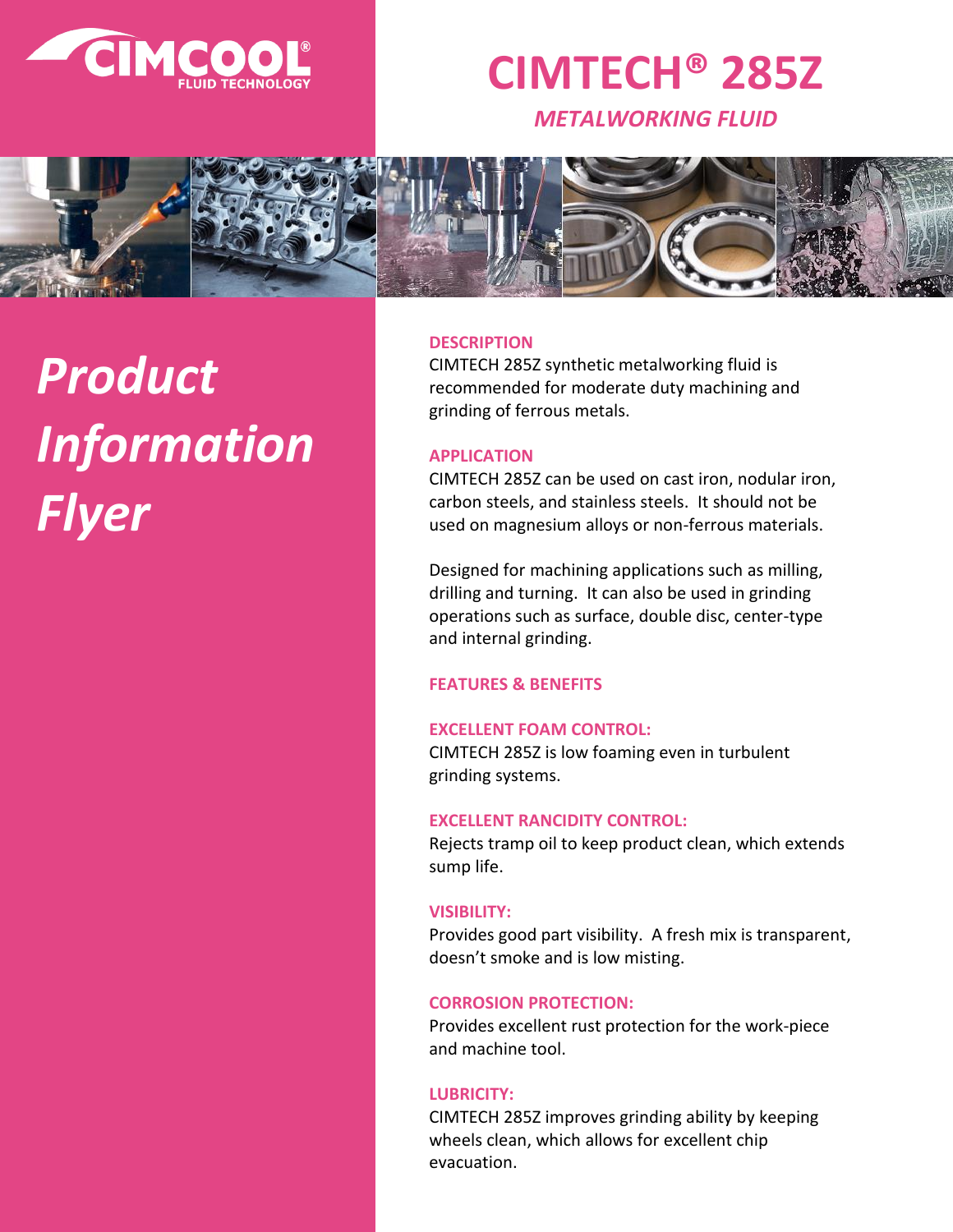

# **CIMTECH® 285Z**

*METALWORKING FLUID*



# *Product Information Flyer*

#### **DESCRIPTION**

CIMTECH 285Z synthetic metalworking fluid is recommended for moderate duty machining and grinding of ferrous metals.

# **APPLICATION**

CIMTECH 285Z can be used on cast iron, nodular iron, carbon steels, and stainless steels. It should not be used on magnesium alloys or non-ferrous materials.

Designed for machining applications such as milling, drilling and turning. It can also be used in grinding operations such as surface, double disc, center-type and internal grinding.

# **FEATURES & BENEFITS**

#### **EXCELLENT FOAM CONTROL:**

CIMTECH 285Z is low foaming even in turbulent grinding systems.

#### **EXCELLENT RANCIDITY CONTROL:**

Rejects tramp oil to keep product clean, which extends sump life.

#### **VISIBILITY:**

Provides good part visibility. A fresh mix is transparent, doesn't smoke and is low misting.

#### **CORROSION PROTECTION:**

Provides excellent rust protection for the work-piece and machine tool.

#### **LUBRICITY:**

CIMTECH 285Z improves grinding ability by keeping wheels clean, which allows for excellent chip evacuation.